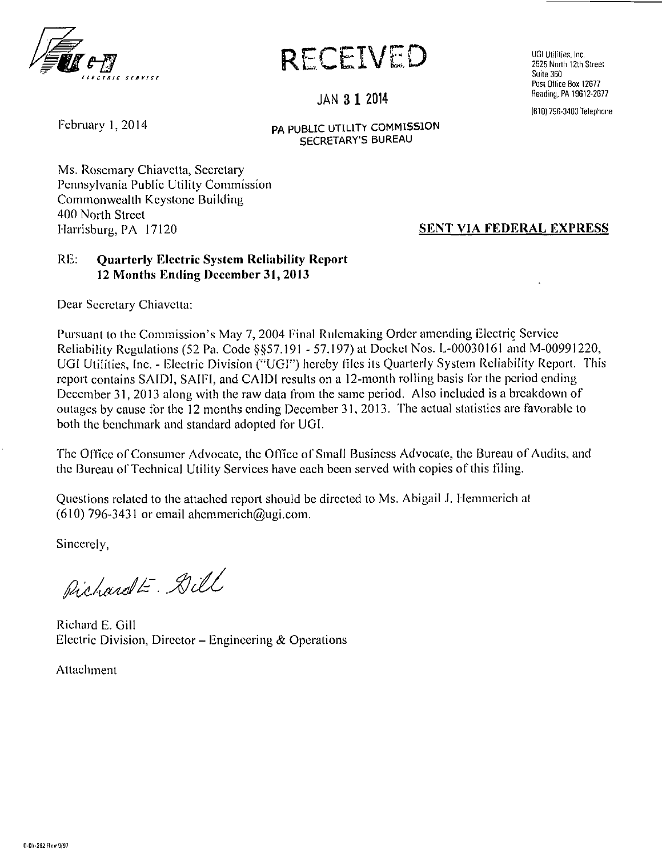

**RECEIVED** 

UGI Utilities, Inc. 2525 North 12th Street Suite 360 Post Office Box 12677 Reading, PA 19612-2677

(610) 736-3400 Telephone

#### **JAN 3 1<sup>2014</sup>**

: ebruary 1, 2014

**PA PUBLIC UTILITY COMMISSION SECRETARY'S BUREAU** 

Ms. Rosemary Chiavetta, Secretary Pennsylvania Public Utility Commission Commonweallh Keystone Building 400 North Sireet Harrisburg, PA 17120 **SENT VIA FEDERAL EXPRESS** 

#### **RB: Quarterly Electric System Reliability Report 12 Months Ending December 31, 2013**

Dear Secretary Chiavetta:

Pursuant to the Commission's May 7, 2004 Final Rulemaking Order amending Electric Service Reliability Regulations (52 Pa. Code §§57.191 - 57.197) at Docket Nos. L-00030161 and M-00991220, UGI Utilities, Inc. - Electric Division ("UGI") hereby files its Quarterly System Reliability Report. This report contains SAIDI, SAIFI. and CAIDI results on a 12-month rolling basis for the period ending December 31, 2013 along with the raw data from the same period. Also included is a breakdown of outages by cause for the 12 months ending December 31, 2013. The actual statistics are favorable to both the benchmark and standard adopted for UGI.

The Office of Consumer Advocate, the Office of Small Business Advocate, the Bureau of Audits, and the Bureau of Technical Utility Services have each been served with copies of this filing.

Questions related to the attached report should be directed to Ms. Abigail J. Hemmcrich al (610) 796-3431 or email ahemmerich@ugi.com.

Sincerely,

Pichardt- Dill

Richard E. Gill Electric Division, Director – Engineering & Operations  $\mathcal{L}$  Director - Engineering  $\mathcal{L}$ 

Attachment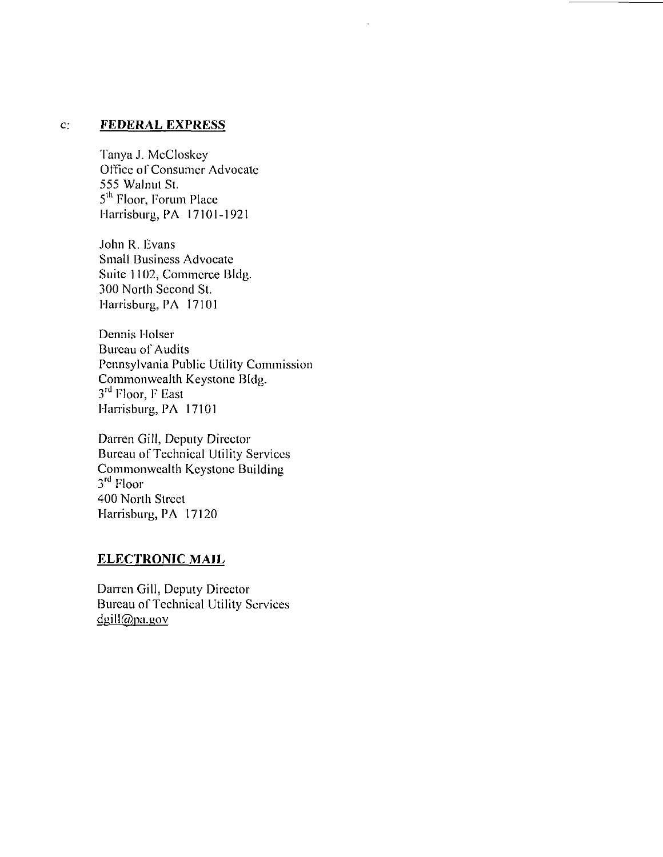#### c: **FEDERAL EXPRESS**

Tanya J. MeCloskcy Office of Consumer Advocate 555 Walnul St. 5<sup>th</sup> Floor, Forum Place Harrisburg, PA 17101-1921

John R. Evans Small Business Advocate Suite 1102, Commerce Bldg. 300 North Second St. Harrisburg, PA 17101

Dennis Holser Bureau of Audits Pennsylvania Public Utility Commission Commonwealth Keystone Bldg. 3<sup>rd</sup> Floor, F East Harrisburg, PA 17101

Darren Gill, Deputy Director Bureau of Technical Utility Services Commonwealth Keystone Building 3<sup>ru</sup> Floor 400 North Street Harrisburg, PA 17120

#### **ELECTRONIC MAIL**

Darren Gill, Deputy Director Bureau of Technical Utility Services  $d$ gill $@p$ a.gov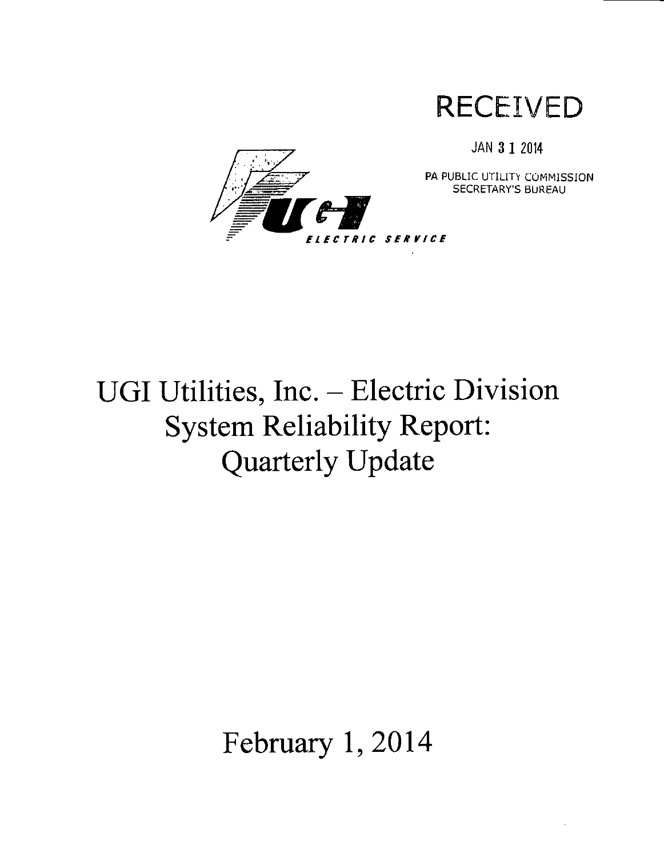

JAN 3 1 2014



PA PUBLIC UTILITY COMMISSION SECRETARY'S BUREAU

# **UGI Utilities, Inc. - Electric Division System Reliability Report: Quarterly Update**

**February 1, 2014**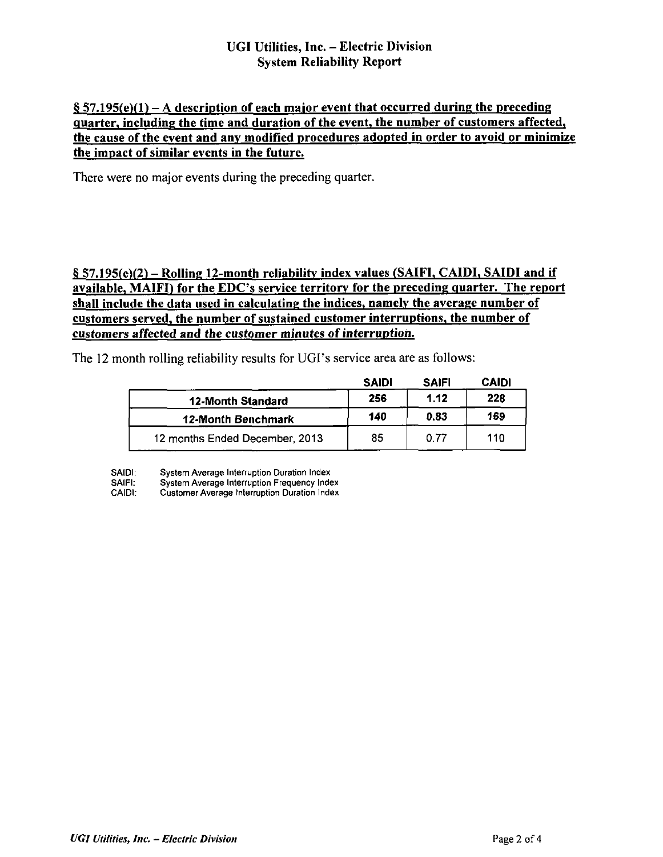#### **UGI Utilities, Inc. - Electric Division System Reliability Report**

#### **§ S7.195(e)(l) - A description of each maior event that occurred during the preceding quarter, including the time and duration of the event, the number of customers affected, the cause of the event and any modified procedures adopted in order to avoid or minimize the impact of similar events in the future.**

There were no major events during the preceding quarter.

#### **§ 57.195(e)(2) - Rolling 12-month reliability index values (SAIFI. CAIDI, SAIDI and if available, MAIFI) for the EDC's service territory for the preceding quarter. The report shall include the data used in calculating the indices, namely the average number of customers served, the number of sustained customer interruptions, the number of customers affected and the customer minutes of interruption.**

The 12 month rolling reliability results for UGI's service area are as follows:

|                                | <b>SAIDI</b> | <b>SAIFI</b> | <b>CAIDI</b> |
|--------------------------------|--------------|--------------|--------------|
| <b>12-Month Standard</b>       | 256          | 1.12         | 228          |
| 12-Month Benchmark             | 140          | 0.83         | 169          |
| 12 months Ended December, 2013 | 85           | 0.77         | 110          |

SAIDI: System Average Interruption Duration Index

SAIFI: System Average Interruption Frequency Index<br>CAIDI: Customer Average Interruption Duration Index

Customer Average Interruption Duration Index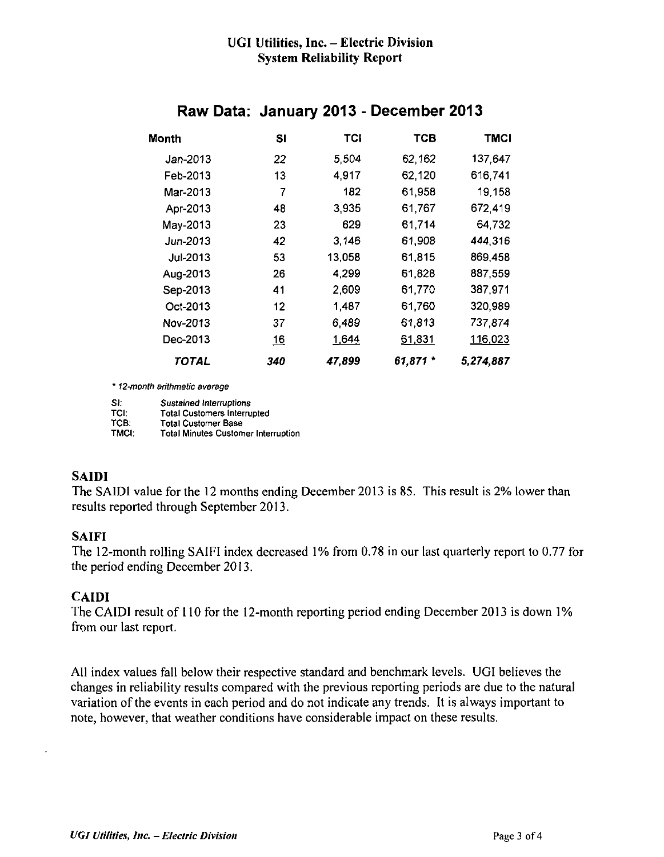#### **UGI Utilities, Inc. - Electric Division System Reliability Report**

| <b>Month</b> | SI               | TCI    | TCB      | <b>TMCI</b> |
|--------------|------------------|--------|----------|-------------|
| Jan-2013     | 22               | 5.504  | 62,162   | 137,647     |
| Feb-2013     | 13               | 4.917  | 62,120   | 616,741     |
| Mar-2013     | 7                | 182    | 61,958   | 19,158      |
| Apr-2013     | 48               | 3.935  | 61,767   | 672,419     |
| May-2013     | 23               | 629    | 61,714   | 64.732      |
| Jun-2013     | 42               | 3,146  | 61,908   | 444,316     |
| Jul-2013     | 53               | 13,058 | 61,815   | 869,458     |
| Aug-2013     | 26               | 4,299  | 61,828   | 887,559     |
| Sep-2013     | 41               | 2,609  | 61,770   | 387,971     |
| Oct-2013     | 12               | 1,487  | 61,760   | 320,989     |
| Nov-2013     | 37               | 6,489  | 61,813   | 737,874     |
| Dec-2013     | $\underline{16}$ | 1,644  | 61,831   | 116,023     |
| TOTAL        | 340              | 47,899 | 61,871 * | 5,274,887   |

### **Raw Data: January 2013 - December 2013**

" 12-month arithmetic average

Si: Sustained Interruptions<br>TCI: Total Customers Interru TCI: Total Customers Interrupted<br>TCB: Total Customer Base TCB: Total Customer Base<br>TMCI: Total Minutes Custom Total Minutes Customer Interruption

#### **SAIDI**

The SAIDI value for the 12 months ending December 2013 is 85. This result is 2% lower than results reported through September 2013.

#### **SAIFI**

The 12-month rolling SAIFI index decreased 1% from 0.78 in our last quarterly report to 0.77 for the period ending December 2013.

#### **CAIDI**

The CAIDI result of 110 for the 12-month reporting period ending December 2013 is down 1% from our last report.

All index values fall below their respective standard and benchmark levels. UGI believes the changes in reliability results compared with the previous reporting periods are due to the natural variation of the events in each period and do not indicate any trends. It is always important to note, however, that weather conditions have considerable impact on these results.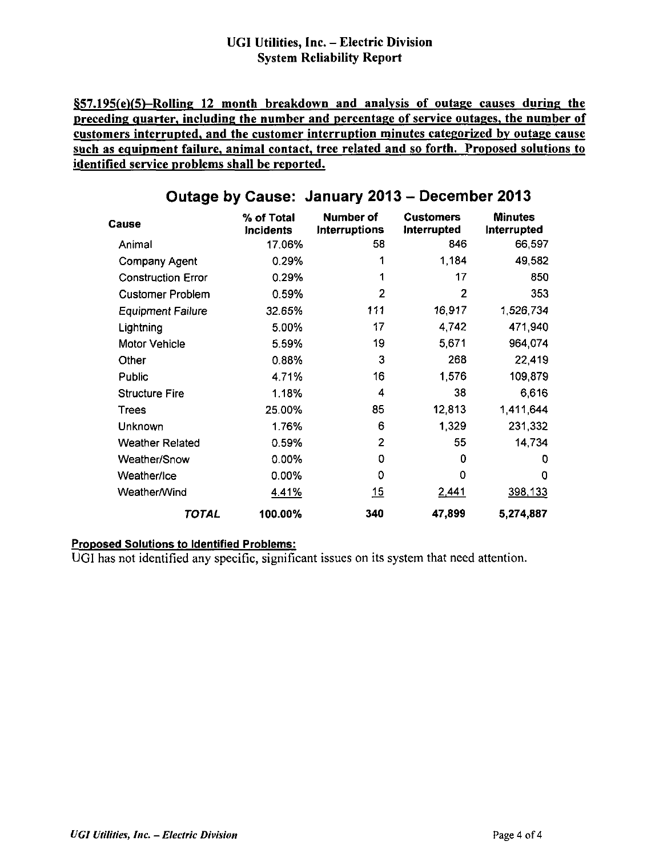#### **UGI Utilities, Inc. - Electric Division System Reliability Report**

**§57.195(e)(5)-RoUing 12 month breakdown and analysis of outage causes during the preceding quarter, including the number and percentage of service outages, the number of customers interrupted, and the customer interruption minutes categorized by outage cause such as equipment failure, animal contact, tree related and so forth. Proposed solutions to identified service problems shall be reported.** 

| Cause                     | % of Total<br>Incidents | <b>Number of</b><br>Interruptions | <b>Customers</b><br>Interrupted | <b>Minutes</b><br>Interrupted |
|---------------------------|-------------------------|-----------------------------------|---------------------------------|-------------------------------|
| Animal                    | 17.06%                  | 58                                | 846                             | 66,597                        |
| Company Agent             | 0.29%                   |                                   | 1,184                           | 49,582                        |
| <b>Construction Error</b> | 0.29%                   |                                   | 17                              | 850                           |
| <b>Customer Problem</b>   | 0.59%                   | 2                                 | 2                               | 353                           |
| <b>Equipment Failure</b>  | 32.65%                  | 111                               | 16,917                          | 1,526,734                     |
| Lightning                 | 5.00%                   | 17                                | 4,742                           | 471,940                       |
| <b>Motor Vehicle</b>      | 5.59%                   | 19                                | 5,671                           | 964,074                       |
| Other                     | 0.88%                   | 3                                 | 268                             | 22,419                        |
| <b>Public</b>             | 4.71%                   | 16                                | 1,576                           | 109,879                       |
| <b>Structure Fire</b>     | 1.18%                   | 4                                 | 38                              | 6,616                         |
| Trees                     | 25.00%                  | 85                                | 12,813                          | 1,411,644                     |
| Unknown                   | 1.76%                   | 6                                 | 1,329                           | 231,332                       |
| <b>Weather Related</b>    | 0.59%                   | 2                                 | 55                              | 14,734                        |
| Weather/Snow              | 0.00%                   | 0                                 | 0                               | 0                             |
| Weather/Ice               | 0.00%                   | 0                                 | 0                               | 0                             |
| Weather/Wind              | 4.41%                   | 15                                | 2.441                           | 398,133                       |
| TOTAL                     | 100.00%                 | 340                               | 47,899                          | 5,274,887                     |

## **Outage by Cause: January 2013 - December 2013**

#### **Proposed Solutions to Identified Problems:**

UGI has not identified any specific, significant issues on its system that need attention.